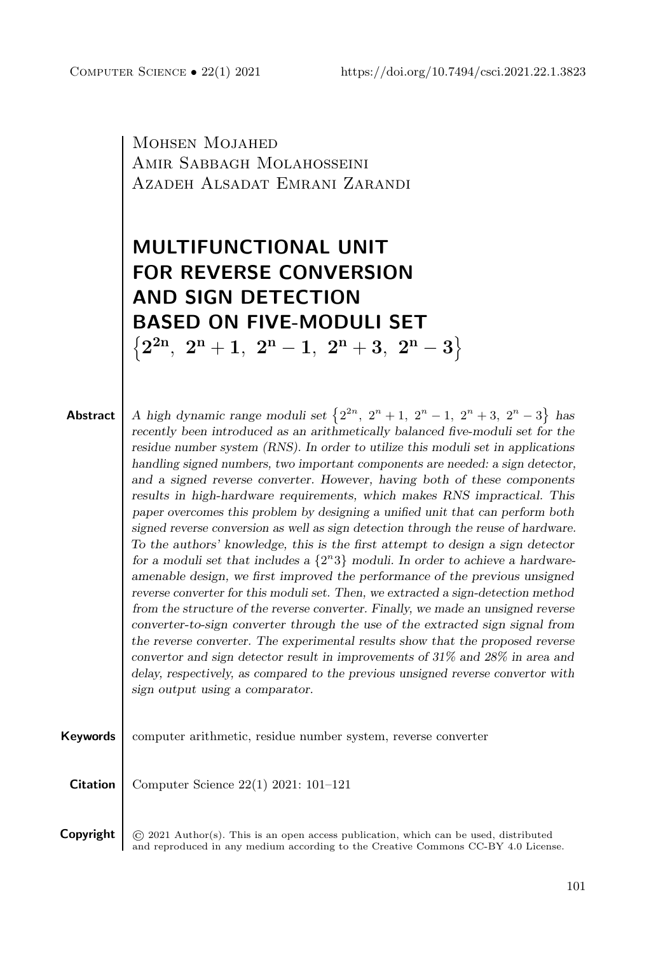Mohsen Mojahed Amir Sabbagh Molahosseini Azadeh Alsadat Emrani Zarandi

# **MULTIFUNCTIONAL UNIT FOR REVERSE CONVERSION AND SIGN DETECTION BASED ON FIVE-MODULI SET**  $\left\{2^{2n},\,\, 2^{n}+1,\,\, 2^{n}-1,\,\, 2^{n}+3,\,\, 2^{n}-3\right\}$

**Abstract** | A high dynamic range moduli set  $\{2^{2n}, 2^n + 1, 2^n - 1, 2^n + 3, 2^n - 3\}$  has *recently been introduced as an arithmetically balanced five-moduli set for the residue number system (RNS). In order to utilize this moduli set in applications handling signed numbers, two important components are needed: a sign detector, and a signed reverse converter. However, having both of these components results in high-hardware requirements, which makes RNS impractical. This paper overcomes this problem by designing a unified unit that can perform both signed reverse conversion as well as sign detection through the reuse of hardware. To the authors' knowledge, this is the first attempt to design a sign detector* for a moduli set that includes a  $\{2^n3\}$  moduli. In order to achieve a hardware*amenable design, we first improved the performance of the previous unsigned reverse converter for this moduli set. Then, we extracted a sign-detection method from the structure of the reverse converter. Finally, we made an unsigned reverse converter-to-sign converter through the use of the extracted sign signal from the reverse converter. The experimental results show that the proposed reverse convertor and sign detector result in improvements of 31% and 28% in area and delay, respectively, as compared to the previous unsigned reverse convertor with sign output using a comparator.*



**Copyright**  $\odot$  2021 Author(s). This is an open access publication, which can be used, distributed and reproduced in any medium according to the [Creative Commons CC-BY 4.0 License.](https://creativecommons.org/licenses/by/4.0/)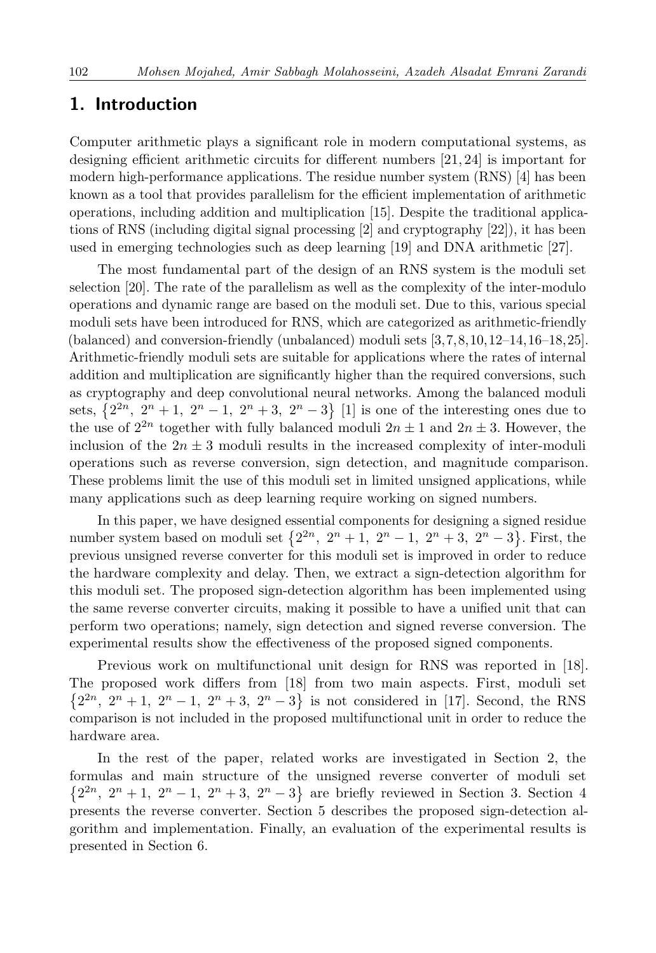## **1. Introduction**

Computer arithmetic plays a significant role in modern computational systems, as designing efficient arithmetic circuits for different numbers [\[21,](#page-19-0) [24\]](#page-19-1) is important for modern high-performance applications. The residue number system (RNS) [\[4\]](#page-18-0) has been known as a tool that provides parallelism for the efficient implementation of arithmetic operations, including addition and multiplication [\[15\]](#page-19-2). Despite the traditional applications of RNS (including digital signal processing [\[2\]](#page-18-1) and cryptography [\[22\]](#page-19-3)), it has been used in emerging technologies such as deep learning [\[19\]](#page-19-4) and DNA arithmetic [\[27\]](#page-20-1).

The most fundamental part of the design of an RNS system is the moduli set selection [\[20\]](#page-19-5). The rate of the parallelism as well as the complexity of the inter-modulo operations and dynamic range are based on the moduli set. Due to this, various special moduli sets have been introduced for RNS, which are categorized as arithmetic-friendly (balanced) and conversion-friendly (unbalanced) moduli sets [\[3,](#page-18-2)[7,](#page-18-3)[8,](#page-18-4)[10,](#page-18-5)[12](#page-18-6)[–14,](#page-19-6)[16–](#page-19-7)[18,](#page-19-8)[25\]](#page-19-9). Arithmetic-friendly moduli sets are suitable for applications where the rates of internal addition and multiplication are significantly higher than the required conversions, such as cryptography and deep convolutional neural networks. Among the balanced moduli sets,  $\{2^{2n}, 2^n + 1, 2^n - 1, 2^n + 3, 2^n - 3\}$  [\[1\]](#page-18-7) is one of the interesting ones due to the use of  $2^{2n}$  together with fully balanced moduli  $2n \pm 1$  and  $2n \pm 3$ . However, the inclusion of the  $2n \pm 3$  moduli results in the increased complexity of inter-moduli operations such as reverse conversion, sign detection, and magnitude comparison. These problems limit the use of this moduli set in limited unsigned applications, while many applications such as deep learning require working on signed numbers.

In this paper, we have designed essential components for designing a signed residue number system based on moduli set  $\{2^{2n}, 2^n + 1, 2^n - 1, 2^n + 3, 2^n - 3\}$ . First, the previous unsigned reverse converter for this moduli set is improved in order to reduce the hardware complexity and delay. Then, we extract a sign-detection algorithm for this moduli set. The proposed sign-detection algorithm has been implemented using the same reverse converter circuits, making it possible to have a unified unit that can perform two operations; namely, sign detection and signed reverse conversion. The experimental results show the effectiveness of the proposed signed components.

Previous work on multifunctional unit design for RNS was reported in [\[18\]](#page-19-8). The proposed work differs from [\[18\]](#page-19-8) from two main aspects. First, moduli set  $\{2^{2n}, 2^n + 1, 2^n - 1, 2^n + 3, 2^n - 3\}$  is not considered in [17]. Second, the RNS comparison is not included in the proposed multifunctional unit in order to reduce the hardware area.

In the rest of the paper, related works are investigated in Section 2, the formulas and main structure of the unsigned reverse converter of moduli set  $\{2^{2n}, 2^{n}+1, 2^{n}-1, 2^{n}+3, 2^{n}-3\}$  are briefly reviewed in Section [3.](#page-2-0) Section [4](#page-5-0) presents the reverse converter. Section 5 describes the proposed sign-detection algorithm and implementation. Finally, an evaluation of the experimental results is presented in Section 6.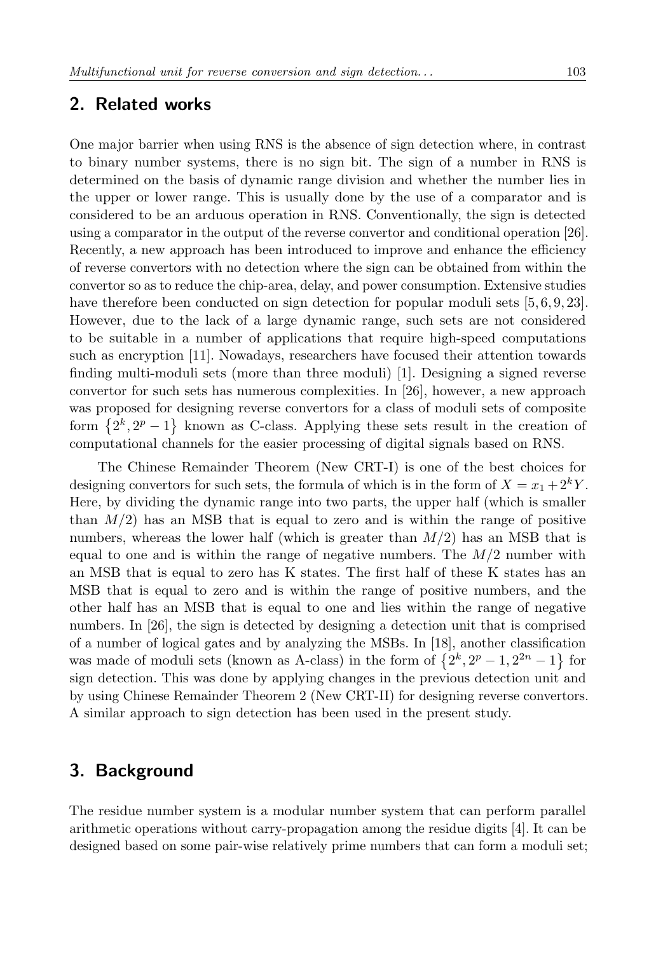### **2. Related works**

One major barrier when using RNS is the absence of sign detection where, in contrast to binary number systems, there is no sign bit. The sign of a number in RNS is determined on the basis of dynamic range division and whether the number lies in the upper or lower range. This is usually done by the use of a comparator and is considered to be an arduous operation in RNS. Conventionally, the sign is detected using a comparator in the output of the reverse convertor and conditional operation [\[26\]](#page-20-2). Recently, a new approach has been introduced to improve and enhance the efficiency of reverse convertors with no detection where the sign can be obtained from within the convertor so as to reduce the chip-area, delay, and power consumption. Extensive studies have therefore been conducted on sign detection for popular moduli sets [\[5,](#page-18-8)6,9,23]. However, due to the lack of a large dynamic range, such sets are not considered to be suitable in a number of applications that require high-speed computations such as encryption [\[11\]](#page-18-11). Nowadays, researchers have focused their attention towards finding multi-moduli sets (more than three moduli) [\[1\]](#page-18-7). Designing a signed reverse convertor for such sets has numerous complexities. In [\[26\]](#page-20-2), however, a new approach was proposed for designing reverse convertors for a class of moduli sets of composite form  $\{2^k, 2^p-1\}$  known as C-class. Applying these sets result in the creation of computational channels for the easier processing of digital signals based on RNS.

The Chinese Remainder Theorem (New CRT-I) is one of the best choices for designing convertors for such sets, the formula of which is in the form of  $X = x_1 + 2^k Y$ . Here, by dividing the dynamic range into two parts, the upper half (which is smaller than  $M/2$ ) has an MSB that is equal to zero and is within the range of positive numbers, whereas the lower half (which is greater than *M/*2) has an MSB that is equal to one and is within the range of negative numbers. The *M/*2 number with an MSB that is equal to zero has K states. The first half of these K states has an MSB that is equal to zero and is within the range of positive numbers, and the other half has an MSB that is equal to one and lies within the range of negative numbers. In [\[26\]](#page-20-2), the sign is detected by designing a detection unit that is comprised of a number of logical gates and by analyzing the MSBs. In [\[18\]](#page-19-8), another classification was made of moduli sets (known as A-class) in the form of  $\{2^k, 2^p - 1, 2^{2n} - 1\}$  for sign detection. This was done by applying changes in the previous detection unit and by using Chinese Remainder Theorem 2 (New CRT-II) for designing reverse convertors. A similar approach to sign detection has been used in the present study.

# <span id="page-2-0"></span>**3. Background**

The residue number system is a modular number system that can perform parallel arithmetic operations without carry-propagation among the residue digits [\[4\]](#page-18-0). It can be designed based on some pair-wise relatively prime numbers that can form a moduli set;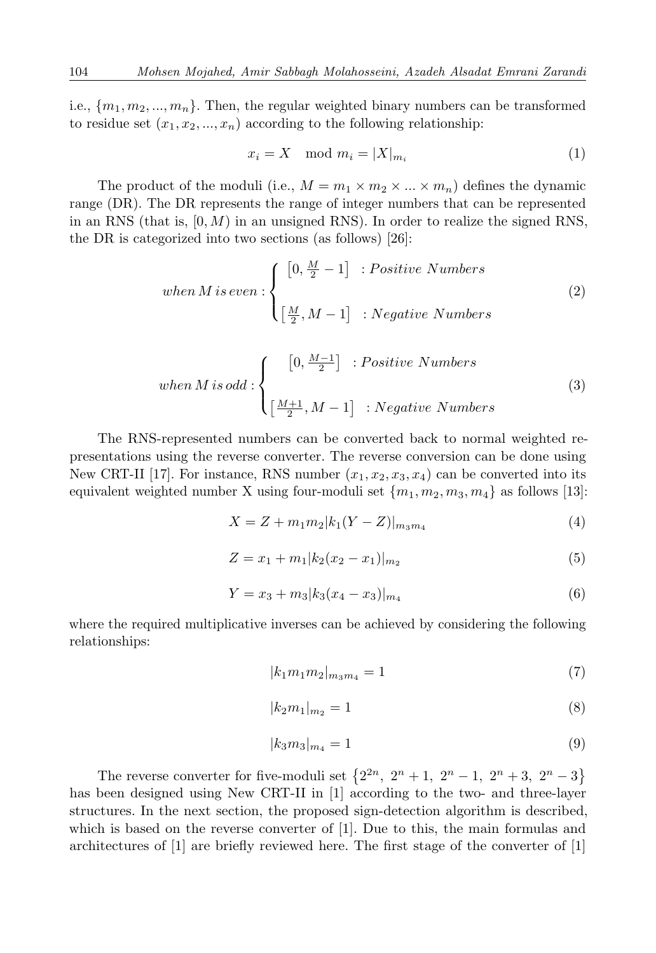i.e.,  ${m_1, m_2, ..., m_n}$ . Then, the regular weighted binary numbers can be transformed to residue set  $(x_1, x_2, ..., x_n)$  according to the following relationship:

$$
x_i = X \mod m_i = |X|_{m_i} \tag{1}
$$

The product of the moduli (i.e.,  $M = m_1 \times m_2 \times ... \times m_n$ ) defines the dynamic range (DR). The DR represents the range of integer numbers that can be represented in an RNS (that is, [0*, M*) in an unsigned RNS). In order to realize the signed RNS, the DR is categorized into two sections (as follows) [\[26\]](#page-20-2):

when M is even: 
$$
\begin{cases} [0, \frac{M}{2} - 1] : Positive Numbers \\ \left[\frac{M}{2}, M - 1\right] : Negative Numbers \end{cases}
$$
 (2)

when M is odd : 
$$
\begin{cases} [0, \frac{M-1}{2}] & Positive Numbers \\ \left[\frac{M+1}{2}, M-1\right] & \text{: Negative Numbers} \end{cases}
$$
 (3)

The RNS-represented numbers can be converted back to normal weighted representations using the reverse converter. The reverse conversion can be done using New CRT-II [\[17\]](#page-19-11). For instance, RNS number  $(x_1, x_2, x_3, x_4)$  can be converted into its equivalent weighted number X using four-moduli set  $\{m_1, m_2, m_3, m_4\}$  as follows [\[13\]](#page-19-12):

$$
X = Z + m_1 m_2 |k_1 (Y - Z)|_{m_3 m_4}
$$
\n<sup>(4)</sup>

$$
Z = x_1 + m_1 |k_2(x_2 - x_1)|_{m_2}
$$
\n<sup>(5)</sup>

$$
Y = x_3 + m_3 \left| k_3 (x_4 - x_3) \right|_{m_4} \tag{6}
$$

where the required multiplicative inverses can be achieved by considering the following relationships:

$$
|k_1 m_1 m_2|_{m_3 m_4} = 1 \tag{7}
$$

$$
|k_2 m_1|_{m_2} = 1 \tag{8}
$$

$$
|k_3 m_3|_{m_4} = 1 \tag{9}
$$

The reverse converter for five-moduli set  $\{2^{2n}, 2^n + 1, 2^n - 1, 2^n + 3, 2^n - 3\}$ has been designed using New CRT-II in [\[1\]](#page-18-7) according to the two- and three-layer structures. In the next section, the proposed sign-detection algorithm is described, which is based on the reverse converter of [\[1\]](#page-18-7). Due to this, the main formulas and architectures of [\[1\]](#page-18-7) are briefly reviewed here. The first stage of the converter of [\[1\]](#page-18-7)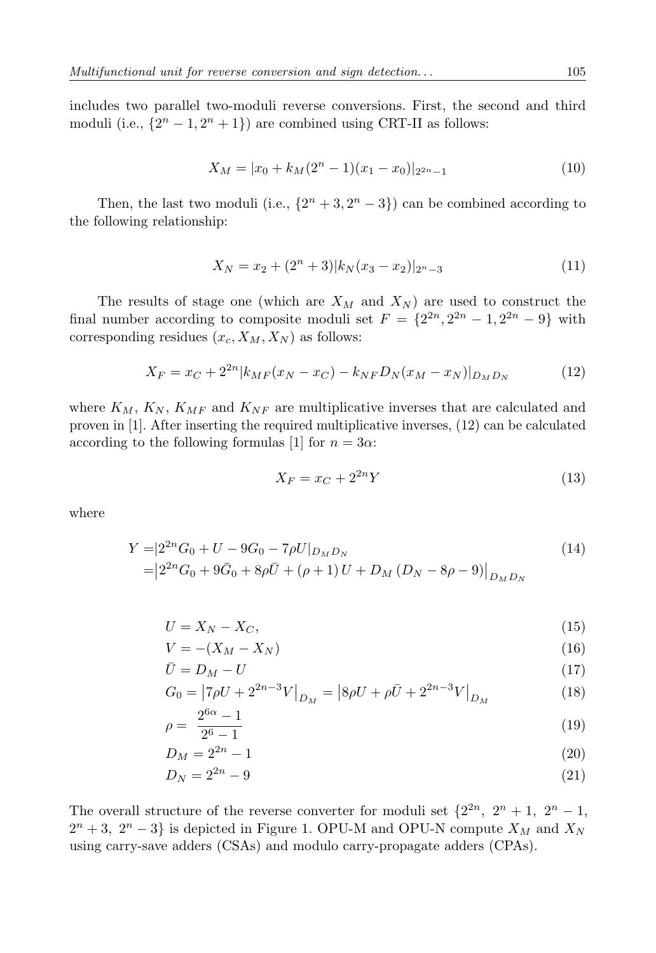includes two parallel two-moduli reverse conversions. First, the second and third moduli (i.e.,  $\{2^n - 1, 2^n + 1\}$ ) are combined using CRT-II as follows:

$$
X_M = |x_0 + k_M(2^n - 1)(x_1 - x_0)|_{2^{2n} - 1}
$$
\n(10)

Then, the last two moduli (i.e.,  $\{2^n + 3, 2^n - 3\}$ ) can be combined according to the following relationship:

$$
X_N = x_2 + (2^n + 3)|k_N(x_3 - x_2)|_{2^n - 3}
$$
\n(11)

The results of stage one (which are *X<sup>M</sup>* and *X<sup>N</sup>* ) are used to construct the final number according to composite moduli set  $F = \{2^{2n}, 2^{2n} - 1, 2^{2n} - 9\}$  with corresponding residues  $(x_c, X_M, X_N)$  as follows:

<span id="page-4-0"></span>
$$
X_F = x_C + 2^{2n} |k_{MF}(x_N - x_C) - k_{NF} D_N(x_M - x_N)|_{D_M D_N}
$$
 (12)

where  $K_M$ ,  $K_N$ ,  $K_{MF}$  and  $K_{NF}$  are multiplicative inverses that are calculated and proven in [\[1\]](#page-18-7). After inserting the required multiplicative inverses, [\(12\)](#page-4-0) can be calculated according to the following formulas [\[1\]](#page-18-7) for  $n = 3\alpha$ :

$$
X_F = x_C + 2^{2n} Y \tag{13}
$$

where

$$
Y = |2^{2n}G_0 + U - 9G_0 - 7\rho U|_{D_M D_N}
$$
  
=  $|2^{2n}G_0 + 9\bar{G}_0 + 8\rho \bar{U} + (\rho + 1)U + D_M(D_N - 8\rho - 9)|_{D_M D_N}$  (14)

$$
U = X_N - X_C,\tag{15}
$$

$$
V = -(X_M - X_N) \tag{16}
$$

$$
\bar{U} = D_M - U \tag{17}
$$

$$
G_0 = |7\rho U + 2^{2n-3}V|_{D_M} = |8\rho U + \rho \bar{U} + 2^{2n-3}V|_{D_M}
$$
(18)

$$
\rho = \frac{2^{6\alpha} - 1}{2^6 - 1} \tag{19}
$$

$$
D_M = 2^{2n} - 1 \tag{20}
$$

$$
D_N = 2^{2n} - 9 \tag{21}
$$

The overall structure of the reverse converter for moduli set  $\{2^{2n}, 2^n + 1, 2^n - 1,$  $2^{n} + 3$ ,  $2^{n} - 3$ } is depicted in Figure [1.](#page-5-1) OPU-M and OPU-N compute  $X_M$  and  $X_N$ using carry-save adders (CSAs) and modulo carry-propagate adders (CPAs).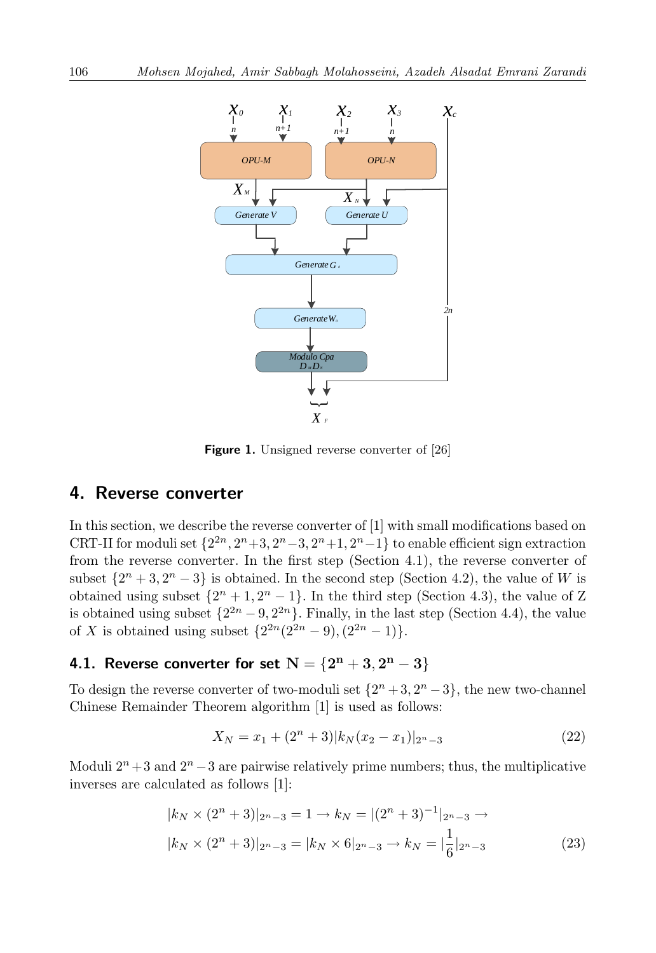<span id="page-5-1"></span>

**Figure 1.** Unsigned reverse converter of [\[26\]](#page-20-2)

### <span id="page-5-0"></span>**4. Reverse converter**

In this section, we describe the reverse converter of [\[1\]](#page-18-7) with small modifications based on CRT-II for moduli set  $\{2^{2n}, 2^n+3, 2^n-3, 2^n+1, 2^n-1\}$  to enable efficient sign extraction from the reverse converter. In the first step (Section [4.1\)](#page-5-2), the reverse converter of subset  $\{2^n + 3, 2^n - 3\}$  is obtained. In the second step (Section [4.2\)](#page-7-0), the value of *W* is obtained using subset  $\{2^n + 1, 2^n - 1\}$ . In the third step (Section [4.3\)](#page-7-1), the value of Z is obtained using subset  $\{2^{2n} - 9, 2^{2n}\}\$ . Finally, in the last step (Section [4.4\)](#page-9-0), the value of *X* is obtained using subset  $\{2^{2n}(2^{2n}-9), (2^{2n}-1)\}.$ 

## <span id="page-5-2"></span>**4.1. Reverse converter for set**  $N = \{2^{n} + 3, 2^{n} - 3\}$

To design the reverse converter of two-moduli set  $\{2^n + 3, 2^n - 3\}$ , the new two-channel Chinese Remainder Theorem algorithm [\[1\]](#page-18-7) is used as follows:

<span id="page-5-4"></span><span id="page-5-3"></span>
$$
X_N = x_1 + (2^n + 3)|k_N(x_2 - x_1)|_{2^n - 3}
$$
\n(22)

Moduli  $2^n + 3$  and  $2^n - 3$  are pairwise relatively prime numbers; thus, the multiplicative inverses are calculated as follows [\[1\]](#page-18-7):

$$
|k_N \times (2^n + 3)|_{2^n - 3} = 1 \to k_N = |(2^n + 3)^{-1}|_{2^n - 3} \to
$$
  

$$
|k_N \times (2^n + 3)|_{2^n - 3} = |k_N \times 6|_{2^n - 3} \to k_N = |\frac{1}{6}|_{2^n - 3}
$$
 (23)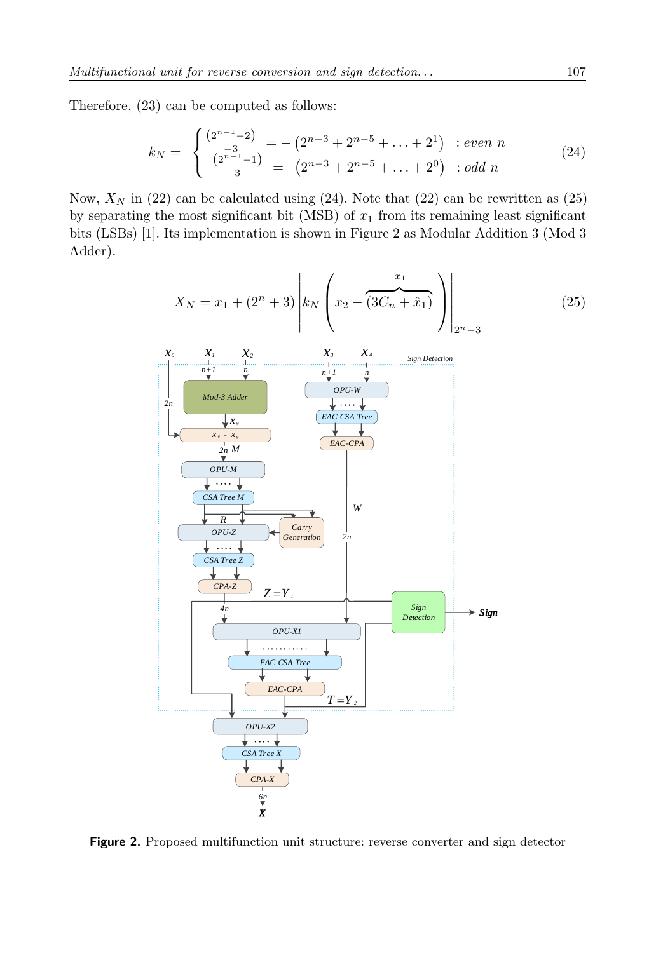Therefore, [\(23\)](#page-5-3) can be computed as follows:

<span id="page-6-0"></span>
$$
k_N = \begin{cases} \frac{(2^{n-1}-2)}{-3} = -(2^{n-3}+2^{n-5}+\ldots+2^1) : even \ n \\ \frac{(2^{n-1}-1)}{3} = (2^{n-3}+2^{n-5}+\ldots+2^0) : odd \ n \end{cases}
$$
 (24)

Now,  $X_N$  in [\(22\)](#page-5-4) can be calculated using [\(24\)](#page-6-0). Note that (22) can be rewritten as [\(25\)](#page-6-1) by separating the most significant bit (MSB) of  $x_1$  from its remaining least significant bits (LSBs) [\[1\]](#page-18-7). Its implementation is shown in Figure [2](#page-6-2) as Modular Addition 3 (Mod 3 Adder).

<span id="page-6-2"></span><span id="page-6-1"></span>
$$
X_{N} = x_{1} + (2^{n} + 3) \left| k_{N} \left( x_{2} - \overbrace{(3C_{n} + \hat{x}_{1})}^{x_{1}} \right) \right|_{2^{n} - 3}
$$
\n
$$
x_{0} \quad X_{1} \quad X_{2} \quad X_{3} \quad X_{4} \quad \text{Sign Detection}
$$
\n
$$
x_{n} \quad X_{1} \quad X_{2} \quad X_{3} \quad X_{4} \quad \text{Sign Detection}
$$
\n
$$
x_{n} \quad \overbrace{y_{n} \quad \overbrace{y_{n} \quad \overbrace{y_{n} \quad \overbrace{y_{n} \quad \overbrace{y_{n} \quad \overbrace{y_{n} \quad \overbrace{y_{n} \quad \overbrace{y_{n} \quad \overbrace{y_{n} \quad \overbrace{y_{n} \quad \overbrace{y_{n} \quad \overbrace{y_{n} \quad \overbrace{y_{n} \quad \overbrace{y_{n} \quad \overbrace{y_{n} \quad \overbrace{y_{n} \quad \overbrace{y_{n} \quad \overbrace{y_{n} \quad \overbrace{y_{n} \quad \overbrace{y_{n} \quad \overbrace{y_{n} \quad \overbrace{y_{n} \quad \overbrace{y_{n} \quad \overbrace{y_{n} \quad \overbrace{y_{n} \quad \overbrace{y_{n} \quad \overbrace{y_{n} \quad \overbrace{y_{n} \quad \overbrace{y_{n} \quad \overbrace{y_{n} \quad \overbrace{y_{n} \quad \overbrace{y_{n} \quad \overbrace{y_{n} \quad \overbrace{y_{n} \quad \overbrace{y_{n} \quad \overbrace{y_{n} \quad \overbrace{y_{n} \quad \overbrace{y_{n} \quad \overbrace{y_{n} \quad \overbrace{y_{n} \quad \overbrace{y_{n} \quad \overbrace{y_{n} \quad \overbrace{y_{n} \quad \overbrace{y_{n} \quad \overbrace{y_{n} \quad \overbrace{y_{n} \quad \overbrace{y_{n} \quad \overbrace{y_{n} \quad \overbrace{y_{n} \quad \overbrace{y_{n} \quad \overbrace{y_{n} \quad \overbrace{y_{n} \quad \overbrace{y_{n} \quad \overbrace{y_{n} \quad \overbrace{y_{n} \quad \overbrace{y_{n} \quad \overbrace{y_{n} \quad \overbrace{y_{n} \quad \overbrace
$$

**Figure 2.** Proposed multifunction unit structure: reverse converter and sign detector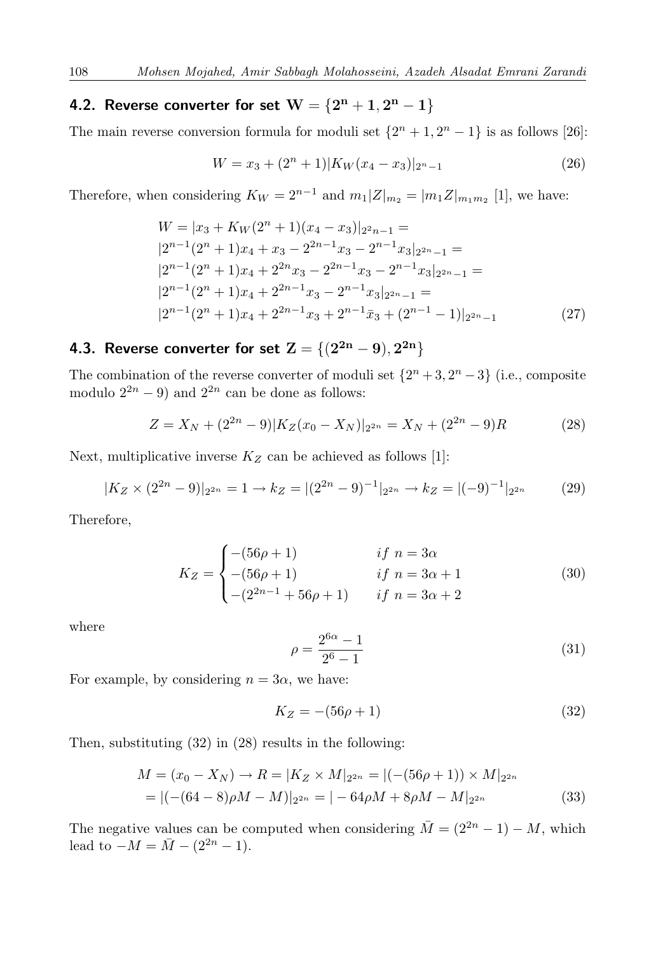### <span id="page-7-0"></span>**4.2. Reverse converter for set**  $W = \{2^{n} + 1, 2^{n} - 1\}$

The main reverse conversion formula for moduli set  $\{2^n + 1, 2^n - 1\}$  is as follows [\[26\]](#page-20-2):

$$
W = x_3 + (2^n + 1)|K_W(x_4 - x_3)|_{2^n - 1}
$$
\n(26)

Therefore, when considering  $K_W = 2^{n-1}$  and  $m_1 |Z|_{m_2} = |m_1 Z|_{m_1 m_2}$  [\[1\]](#page-18-7), we have:

$$
W = |x_3 + K_W(2^n + 1)(x_4 - x_3)|_{2n-1} =
$$
  
\n
$$
|2^{n-1}(2^n + 1)x_4 + x_3 - 2^{2n-1}x_3 - 2^{n-1}x_3|_{2n-1} =
$$
  
\n
$$
|2^{n-1}(2^n + 1)x_4 + 2^{2n}x_3 - 2^{2n-1}x_3 - 2^{n-1}x_3|_{2n-1} =
$$
  
\n
$$
|2^{n-1}(2^n + 1)x_4 + 2^{2n-1}x_3 - 2^{n-1}x_3|_{2n-1} =
$$
  
\n
$$
|2^{n-1}(2^n + 1)x_4 + 2^{2n-1}x_3 + 2^{n-1}\bar{x}_3 + (2^{n-1} - 1)|_{2n-1}
$$
 (27)

### <span id="page-7-1"></span>**4.3. Reverse converter for set**  $\mathbf{Z} = \{(2^{2\mathbf{n}} - 9), 2^{2\mathbf{n}}\}$

The combination of the reverse converter of moduli set  $\{2^n + 3, 2^n - 3\}$  (i.e., composite modulo  $2^{2n} - 9$ ) and  $2^{2n}$  can be done as follows:

<span id="page-7-3"></span>
$$
Z = X_N + (2^{2n} - 9)|K_Z(x_0 - X_N)|_{2^{2n}} = X_N + (2^{2n} - 9)R
$$
 (28)

Next, multiplicative inverse  $K_Z$  can be achieved as follows [\[1\]](#page-18-7):

$$
|K_Z \times (2^{2n} - 9)|_{2^{2n}} = 1 \to k_Z = |(2^{2n} - 9)^{-1}|_{2^{2n}} \to k_Z = |(-9)^{-1}|_{2^{2n}} \tag{29}
$$

Therefore,

$$
K_Z = \begin{cases}\n-(56\rho + 1) & \text{if } n = 3\alpha \\
-(56\rho + 1) & \text{if } n = 3\alpha + 1 \\
-(2^{2n-1} + 56\rho + 1) & \text{if } n = 3\alpha + 2\n\end{cases}
$$
\n(30)

where

$$
\rho = \frac{2^{6\alpha} - 1}{2^6 - 1} \tag{31}
$$

For example, by considering  $n = 3\alpha$ , we have:

<span id="page-7-2"></span>
$$
K_Z = -(56\rho + 1)
$$
\n(32)

Then, substituting  $(32)$  in  $(28)$  results in the following:

$$
M = (x_0 - X_N) \to R = |K_Z \times M|_{2^{2n}} = |(-(56\rho + 1)) \times M|_{2^{2n}}
$$
  
= |(-(64 - 8)\rho M - M)|\_{2^{2n}} = |-64\rho M + 8\rho M - M|\_{2^{2n}} (33)

The negative values can be computed when considering  $\overline{M} = (2^{2n} - 1) - M$ , which lead to  $-M = \overline{M} - (2^{2n} - 1)$ .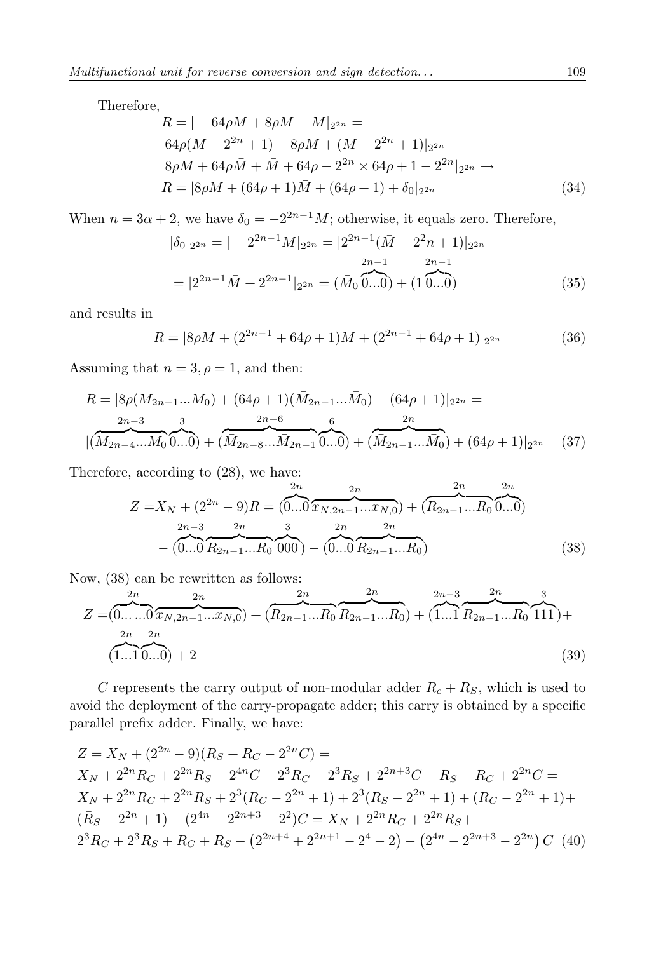Therefore,

$$
R = |-64\rho M + 8\rho M - M|_{2^{2n}} =
$$
  
\n
$$
|64\rho(\bar{M} - 2^{2n} + 1) + 8\rho M + (\bar{M} - 2^{2n} + 1)|_{2^{2n}}
$$
  
\n
$$
|8\rho M + 64\rho \bar{M} + \bar{M} + 64\rho - 2^{2n} \times 64\rho + 1 - 2^{2n}|_{2^{2n}} \to
$$
  
\n
$$
R = |8\rho M + (64\rho + 1)\bar{M} + (64\rho + 1) + \delta_0|_{2^{2n}}
$$
\n(34)

When  $n = 3\alpha + 2$ , we have  $\delta_0 = -2^{2n-1}M$ ; otherwise, it equals zero. Therefore,

$$
|\delta_0|_{2^{2n}} = |-2^{2n-1}M|_{2^{2n}} = |2^{2n-1}(\bar{M} - 2^2n + 1)|_{2^{2n}}
$$
  
= 
$$
|2^{2n-1}\bar{M} + 2^{2n-1}|_{2^{2n}} = (\bar{M}_0 \overline{0...0}) + (1 \overline{0...0})
$$
 (35)

and results in

$$
R = |8\rho M + (2^{2n-1} + 64\rho + 1)\bar{M} + (2^{2n-1} + 64\rho + 1)|_{2^{2n}} \tag{36}
$$

Assuming that  $n = 3, \rho = 1$ , and then:

$$
R = |8\rho(M_{2n-1}...M_0) + (64\rho + 1)(\bar{M}_{2n-1}...\bar{M}_0) + (64\rho + 1)|_{2^{2n}} =
$$
  

$$
|\overbrace{(M_{2n-4}...M_0 \ 0...0)}^{2n-3} + (\overbrace{M_{2n-8}...M_{2n-1} \ 0...0}^{2n-6} + (\overbrace{M_{2n-1}...M_0}^{6n}) + (64\rho + 1)|_{2^{2n}} \qquad (37)
$$

Therefore, according to [\(28\)](#page-7-3), we have:

<span id="page-8-0"></span>
$$
Z = X_N + (2^{2n} - 9)R = \underbrace{(0...0}_{2n-3} \overbrace{x_N, 2n-1...x_N, 0}^{2n} + \underbrace{(R_{2n-1}...R_0}_{0...0})^{2n}}_{-(0...0 \overbrace{R_{2n-1}...R_0}^{2n} 0000) - \underbrace{(0...0}_{R_{2n-1}...R_0}^{2n})}^{2n}
$$
\n
$$
(38)
$$

Now, [\(38\)](#page-8-0) can be rewritten as follows:

$$
Z = (0,...\ldots 0 \overbrace{x_{N,2n-1}...x_{N,0}}^{2n}) + (\overbrace{R_{2n-1}...R_0}^{2n} \overbrace{R_{2n-1}...R_0}^{2n}) + (\overbrace{1...1}^{2n-3} \overbrace{R_{2n-1}...R_0}^{2n-3} \overbrace{111}^{2n}) +
$$
  
\n
$$
(1...1 \overbrace{0...0}^{2n}) + 2
$$
\n(39)

*C* represents the carry output of non-modular adder  $R_c + R_S$ , which is used to avoid the deployment of the carry-propagate adder; this carry is obtained by a specific parallel prefix adder. Finally, we have:

$$
Z = X_N + (2^{2n} - 9)(R_S + R_C - 2^{2n}C) =
$$
  
\n
$$
X_N + 2^{2n}R_C + 2^{2n}R_S - 2^{4n}C - 2^3R_C - 2^3R_S + 2^{2n+3}C - R_S - R_C + 2^{2n}C =
$$
  
\n
$$
X_N + 2^{2n}R_C + 2^{2n}R_S + 2^3(\bar{R}_C - 2^{2n} + 1) + 2^3(\bar{R}_S - 2^{2n} + 1) + (\bar{R}_C - 2^{2n} + 1) +
$$
  
\n
$$
(\bar{R}_S - 2^{2n} + 1) - (2^{4n} - 2^{2n+3} - 2^2)C = X_N + 2^{2n}R_C + 2^{2n}R_S +
$$
  
\n
$$
2^3\bar{R}_C + 2^3\bar{R}_S + \bar{R}_C + \bar{R}_S - (2^{2n+4} + 2^{2n+1} - 2^4 - 2) - (2^{4n} - 2^{2n+3} - 2^{2n})C
$$
 (40)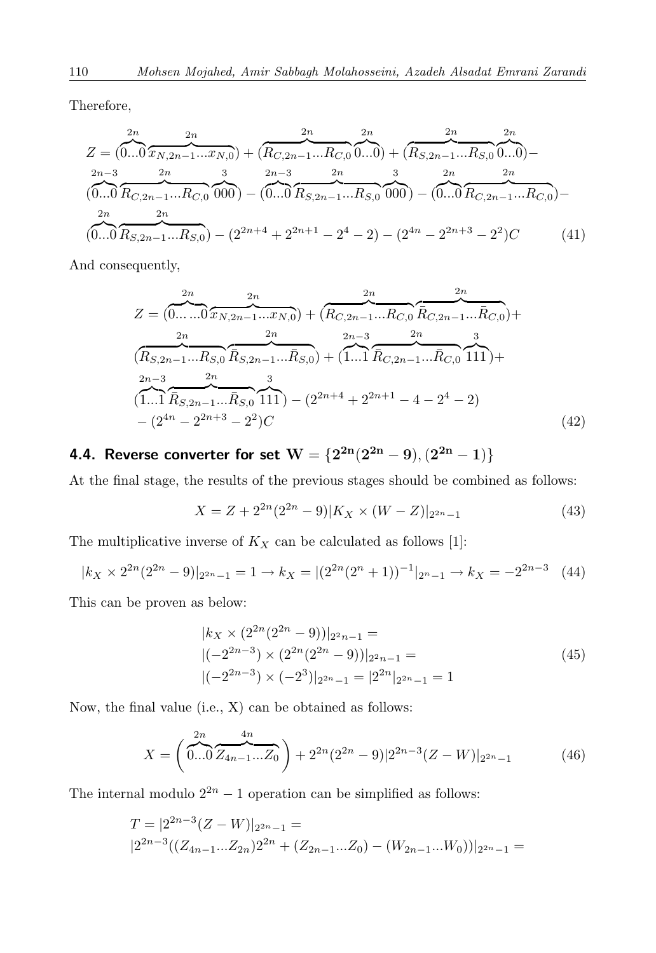Therefore,

$$
Z = (0...0 \overbrace{x_{N,2n-1}...x_{N,0}}^{2n}) + (\overbrace{R_{C,2n-1}...R_{C,0}}^{2n} 0...0) + (\overbrace{R_{S,2n-1}...R_{S,0}}^{2n} 0...0) -
$$
  
\n
$$
(0...0 \overbrace{R_{C,2n-1}...R_{C,0}}^{2n} 000) - (0...0 \overbrace{R_{S,2n-1}...R_{S,0}}^{2n} 000) - (0...0 \overbrace{R_{C,2n-1}...R_{C,0}}^{2n}) -
$$
  
\n
$$
(0...0 \overbrace{R_{S,2n-1}...R_{S,0}}^{2n}) - (2^{2n+4} + 2^{2n+1} - 2^4 - 2) - (2^{4n} - 2^{2n+3} - 2^2)C
$$
 (41)

And consequently,

$$
Z = (\underbrace{0... \dots 0}_{X_{N,2n-1}...X_{N,0}}^{2n}) + (\underbrace{R_{C,2n-1}...R_{C,0}}_{R_{C,2n-1}...R_{C,0}} \underbrace{R_{C,2n-1}...R_{C,0}}_{R_{C,2n-1}...R_{C,0}}) +
$$
  
\n
$$
(\underbrace{R_{S,2n-1}...R_{S,0}}_{1...1} \underbrace{R_{S,2n-1}...R_{S,0}}_{R_{S,2n-1}...R_{S,0}}) + (\underbrace{1...1}_{R_{C,2n-1}...R_{C,0}} \underbrace{R_{S,2n-1}...R_{C,0}}_{111}) +
$$
  
\n
$$
(\underbrace{1...1}_{1...1} \underbrace{R_{S,2n-1}...R_{S,0}}_{R_{S,2n-1}...R_{S,0}} \underbrace{111}_{11}) - (2^{2n+4} + 2^{2n+1} - 4 - 2^4 - 2)
$$
  
\n
$$
- (2^{4n} - 2^{2n+3} - 2^2)C
$$
 (42)

<span id="page-9-0"></span>**4.4. Reverse converter for set**  $\mathbf{W} = \{2^{\mathbf{2n}}(2^{\mathbf{2n}}-9), (2^{\mathbf{2n}}-1)\}$ 

At the final stage, the results of the previous stages should be combined as follows:

$$
X = Z + 2^{2n} (2^{2n} - 9) |K_X \times (W - Z)|_{2^{2n} - 1}
$$
\n(43)

The multiplicative inverse of  $K_X$  can be calculated as follows [\[1\]](#page-18-7):

$$
|k_X \times 2^{2n} (2^{2n} - 9)|_{2^{2n} - 1} = 1 \to k_X = |(2^{2n} (2^n + 1))^{-1}|_{2^n - 1} \to k_X = -2^{2n - 3} \quad (44)
$$

This can be proven as below:

$$
|k_X \times (2^{2n} (2^{2n} - 9))|_{2^2 n - 1} =
$$
  
 
$$
|(-2^{2n-3}) \times (2^{2n} (2^{2n} - 9))|_{2^2 n - 1} =
$$
  
 
$$
|(-2^{2n-3}) \times (-2^3)|_{2^{2n} - 1} = |2^{2n}|_{2^{2n} - 1} = 1
$$
 (45)

Now, the final value (i.e., X) can be obtained as follows:

$$
X = \left(\overbrace{0...0}^{2n} \overbrace{Z_{4n-1}...Z_0}^{4n}\right) + 2^{2n} (2^{2n} - 9) |2^{2n-3} (Z - W)|_{2^{2n} - 1}
$$
(46)

The internal modulo  $2^{2n} - 1$  operation can be simplified as follows:

$$
T = |2^{2n-3}(Z-W)|_{2^{2n}-1} =
$$
  
\n
$$
|2^{2n-3}((Z_{4n-1}...Z_{2n})2^{2n} + (Z_{2n-1}...Z_0) - (W_{2n-1}...W_0))|_{2^{2n}-1} =
$$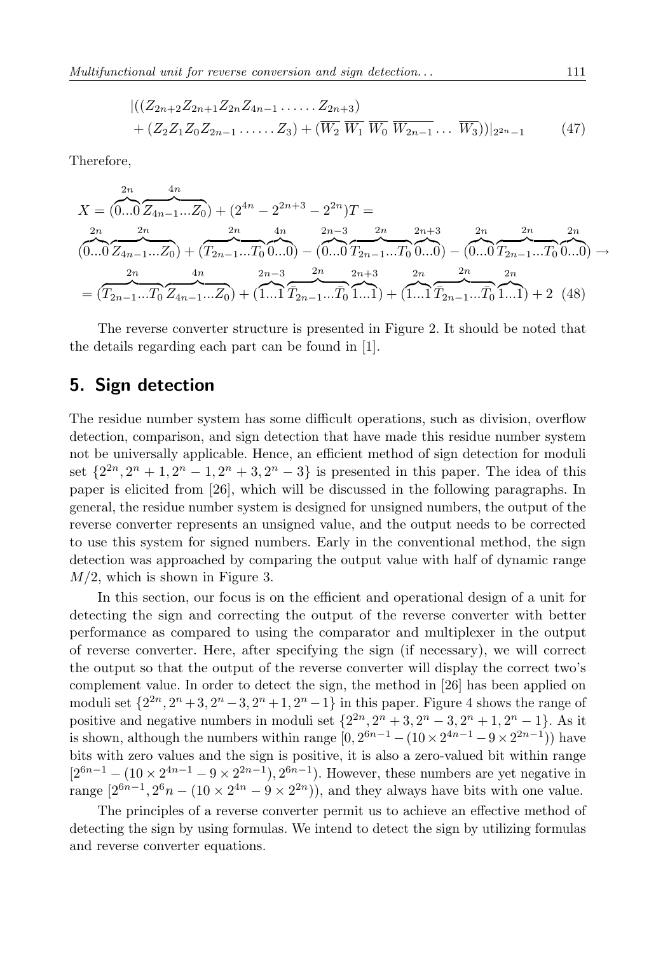$$
\left| \left( (Z_{2n+2}Z_{2n+1}Z_{2n}Z_{4n-1}\ldots Z_{2n+3}) + (Z_2Z_1Z_0Z_{2n-1}\ldots Z_3) + (\overline{W_2}\ \overline{W_1}\ \overline{W_0}\ \overline{W_{2n-1}}\ldots \ \overline{W_3}) \right) \right|_{2^{2n}-1}
$$
\n(47)

Therefore,

$$
X = (0...0 \overline{Z_{4n-1}...Z_0}) + (2^{4n} - 2^{2n+3} - 2^{2n})T =
$$
  
\n
$$
(0...0 \overline{Z_{4n-1}...Z_0}) + (T_{2n-1}...T_0 \overline{0...0}) - (0...0 \overline{T_{2n-1}...T_0} \overline{0...0}) - (0...0 \overline{T_{2n-1}...T_0} \overline{0...0}) - (0...0 \overline{T_{2n-1}...T_0} \overline{0...0})
$$
  
\n
$$
= (T_{2n-1}...T_0 \overline{Z_{4n-1}...Z_0}) + (1...1 \overline{T_{2n-1}...T_0} \overline{1...1}) + (1...1 \overline{T_{2n-1}...T_0} \overline{1...1}) + 2 \quad (48)
$$

The reverse converter structure is presented in Figure [2.](#page-6-2) It should be noted that the details regarding each part can be found in [\[1\]](#page-18-7).

### **5. Sign detection**

The residue number system has some difficult operations, such as division, overflow detection, comparison, and sign detection that have made this residue number system not be universally applicable. Hence, an efficient method of sign detection for moduli set  $\{2^{2n}, 2^n + 1, 2^n - 1, 2^n + 3, 2^n - 3\}$  is presented in this paper. The idea of this paper is elicited from [\[26\]](#page-20-2), which will be discussed in the following paragraphs. In general, the residue number system is designed for unsigned numbers, the output of the reverse converter represents an unsigned value, and the output needs to be corrected to use this system for signed numbers. Early in the conventional method, the sign detection was approached by comparing the output value with half of dynamic range *M/*2, which is shown in Figure [3.](#page-11-0)

In this section, our focus is on the efficient and operational design of a unit for detecting the sign and correcting the output of the reverse converter with better performance as compared to using the comparator and multiplexer in the output of reverse converter. Here, after specifying the sign (if necessary), we will correct the output so that the output of the reverse converter will display the correct two's complement value. In order to detect the sign, the method in [\[26\]](#page-20-2) has been applied on moduli set  $\{2^{2n}, 2^n + 3, 2^n - 3, 2^n + 1, 2^n - 1\}$  in this paper. Figure [4](#page-11-1) shows the range of positive and negative numbers in moduli set  $\{2^{2n}, 2^n + 3, 2^n - 3, 2^n + 1, 2^n - 1\}$ . As it is shown, although the numbers within range  $[0, 2^{6n-1} - (10 \times 2^{4n-1} - 9 \times 2^{2n-1}))$  have bits with zero values and the sign is positive, it is also a zero-valued bit within range  $[2^{6n-1} - (10 \times 2^{4n-1} - 9 \times 2^{2n-1}), 2^{6n-1})$ . However, these numbers are yet negative in range  $[2^{6n-1}, 2^6n - (10 \times 2^{4n} - 9 \times 2^{2n})$ , and they always have bits with one value.

The principles of a reverse converter permit us to achieve an effective method of detecting the sign by using formulas. We intend to detect the sign by utilizing formulas and reverse converter equations.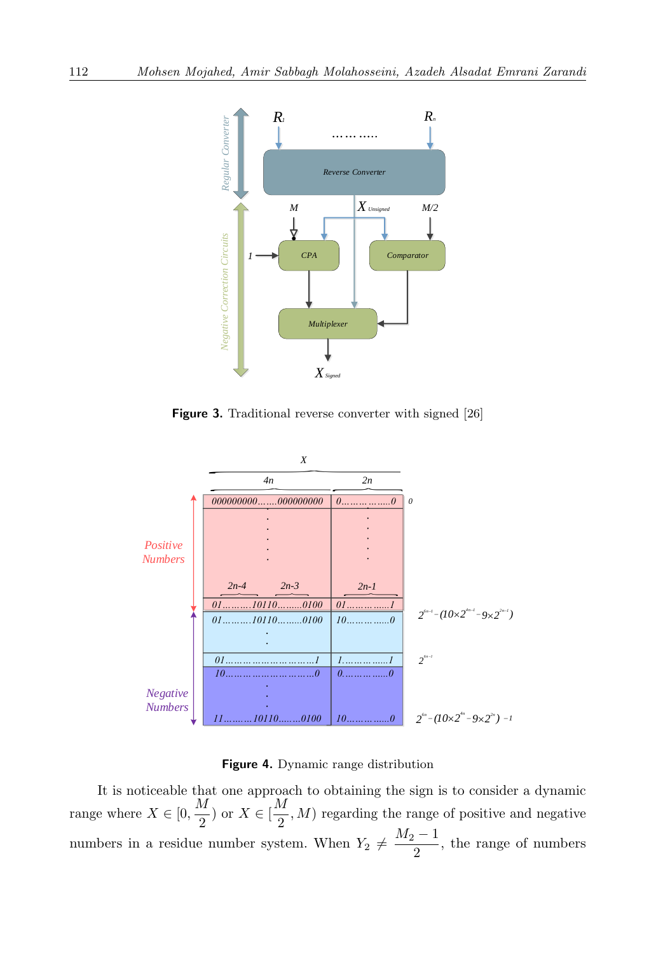<span id="page-11-0"></span>

**Figure 3.** Traditional reverse converter with signed [\[26\]](#page-20-2)

<span id="page-11-1"></span>

**Figure 4.** Dynamic range distribution

It is noticeable that one approach to obtaining the sign is to consider a dynamic range where  $X \in [0, \frac{M}{2}]$  $\frac{M}{2}$ ) or  $X \in \left[\frac{M}{2}\right]$  $\frac{\pi}{2}$ , *M*) regarding the range of positive and negative numbers in a residue number system. When  $Y_2 \neq \frac{M_2 - 1}{2}$  $\frac{1}{2}$ , the range of numbers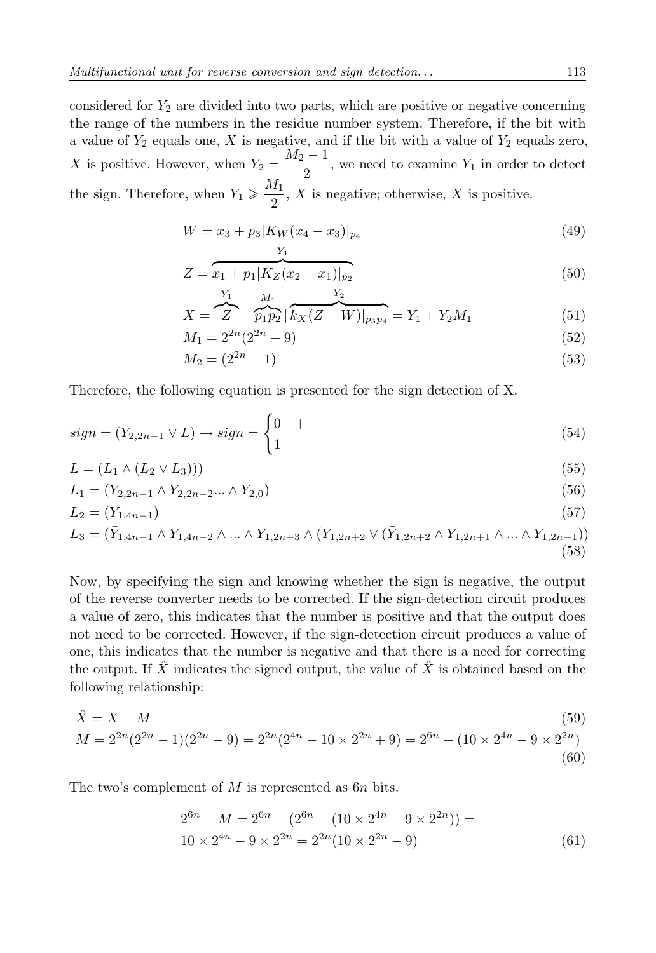considered for *Y*<sup>2</sup> are divided into two parts, which are positive or negative concerning the range of the numbers in the residue number system. Therefore, if the bit with a value of  $Y_2$  equals one,  $X$  is negative, and if the bit with a value of  $Y_2$  equals zero, *X* is positive. However, when  $Y_2 = \frac{M_2 - 1}{2}$  $\frac{1}{2}$ , we need to examine  $Y_1$  in order to detect the sign. Therefore, when  $Y_1 \geqslant \frac{M_1}{2}$  $\frac{1}{2}$ , *X* is negative; otherwise, *X* is positive.

$$
W = x_3 + p_3 |K_W(x_4 - x_3)|_{p_4}
$$
\n<sup>(49)</sup>

$$
Z = \overbrace{x_1 + p_1 | K_Z(x_2 - x_1) |_{p_2}}^{(50)}
$$

$$
X = \sum_{i=1}^{Y_1} \frac{M_1}{\hat{p}_1 \hat{p}_2} \left| \frac{Y_2}{k_X (Z - W)|_{p_3 p_4}} \right| = Y_1 + Y_2 M_1 \tag{51}
$$

$$
M_1 = 2^{2n} (2^{2n} - 9) \tag{52}
$$

$$
M_2 = (2^{2n} - 1) \tag{53}
$$

Therefore, the following equation is presented for the sign detection of X.

$$
sign = (Y_{2,2n-1} \vee L) \rightarrow sign = \begin{cases} 0 & + \\ 1 & - \end{cases}
$$
\n
$$
(54)
$$

$$
L = (L_1 \wedge (L_2 \vee L_3))) \tag{55}
$$

$$
L_1 = (\bar{Y}_{2,2n-1} \wedge Y_{2,2n-2} \dots \wedge Y_{2,0})
$$
\n(56)

$$
L_2 = (Y_{1,4n-1}) \tag{57}
$$

$$
L_3 = (\bar{Y}_{1,4n-1} \wedge Y_{1,4n-2} \wedge \dots \wedge Y_{1,2n+3} \wedge (Y_{1,2n+2} \vee (\bar{Y}_{1,2n+2} \wedge Y_{1,2n+1} \wedge \dots \wedge Y_{1,2n-1}))
$$
\n(58)

Now, by specifying the sign and knowing whether the sign is negative, the output of the reverse converter needs to be corrected. If the sign-detection circuit produces a value of zero, this indicates that the number is positive and that the output does not need to be corrected. However, if the sign-detection circuit produces a value of one, this indicates that the number is negative and that there is a need for correcting the output. If  $\hat{X}$  indicates the signed output, the value of  $\hat{X}$  is obtained based on the following relationship:

$$
\hat{X} = X - M
$$
\n
$$
(59)
$$
\n
$$
M = 2^{2n}(2^{2n} - 1)(2^{2n} - 9) = 2^{2n}(2^{4n} - 10 \times 2^{2n} + 9) = 2^{6n} - (10 \times 2^{4n} - 9 \times 2^{2n})
$$
\n
$$
(60)
$$

The two's complement of *M* is represented as 6*n* bits.

$$
2^{6n} - M = 2^{6n} - (2^{6n} - (10 \times 2^{4n} - 9 \times 2^{2n})) =
$$
  
 
$$
10 \times 2^{4n} - 9 \times 2^{2n} = 2^{2n} (10 \times 2^{2n} - 9)
$$
 (61)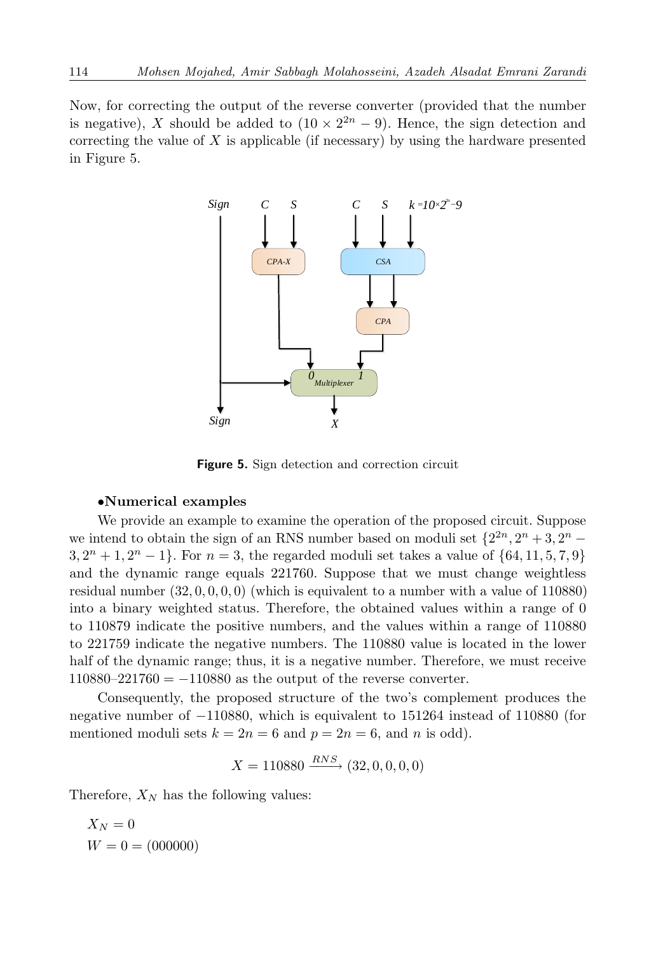<span id="page-13-0"></span>Now, for correcting the output of the reverse converter (provided that the number is negative), *X* should be added to  $(10 \times 2^{2n} - 9)$ . Hence, the sign detection and correcting the value of *X* is applicable (if necessary) by using the hardware presented in Figure [5.](#page-13-0)



**Figure 5.** Sign detection and correction circuit

#### *•***Numerical examples**

We provide an example to examine the operation of the proposed circuit. Suppose we intend to obtain the sign of an RNS number based on moduli set  $\{2^{2n}, 2^n + 3, 2^n - 2^n\}$  $3, 2^n + 1, 2^n - 1$ . For  $n = 3$ , the regarded moduli set takes a value of  $\{64, 11, 5, 7, 9\}$ and the dynamic range equals 221760. Suppose that we must change weightless residual number  $(32, 0, 0, 0, 0)$  (which is equivalent to a number with a value of  $110880$ ) into a binary weighted status. Therefore, the obtained values within a range of 0 to 110879 indicate the positive numbers, and the values within a range of 110880 to 221759 indicate the negative numbers. The 110880 value is located in the lower half of the dynamic range; thus, it is a negative number. Therefore, we must receive 110880–221760 = *−*110880 as the output of the reverse converter.

Consequently, the proposed structure of the two's complement produces the negative number of *−*110880, which is equivalent to 151264 instead of 110880 (for mentioned moduli sets  $k = 2n = 6$  and  $p = 2n = 6$ , and *n* is odd).

$$
X = 110880 \xrightarrow{RNS} (32, 0, 0, 0, 0)
$$

Therefore,  $X_N$  has the following values:

$$
X_N = 0
$$
  

$$
W = 0 = (000000)
$$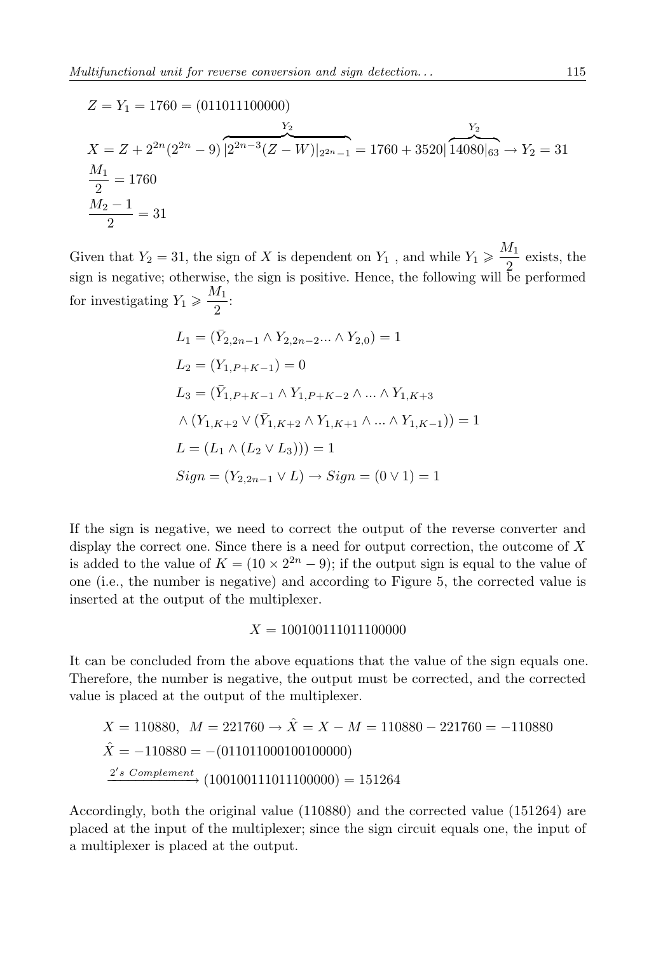$$
Z = Y_1 = 1760 = (011011100000)
$$
  
\n
$$
X = Z + 2^{2n} (2^{2n} - 9) \overline{[2^{2n-3} (Z - W)]_{2^{2n} - 1}} = 1760 + 3520 \overline{[14080]_{63}} \rightarrow Y_2 = 31
$$
  
\n
$$
\frac{M_1}{2} = 1760
$$
  
\n
$$
\frac{M_2 - 1}{2} = 31
$$

Given that  $Y_2 = 31$ , the sign of *X* is dependent on  $Y_1$ , and while  $Y_1 \geqslant \frac{M_1}{2}$  $\frac{1}{2}$  exists, the sign is negative; otherwise, the sign is positive. Hence, the following will be performed for investigating  $Y_1 \geqslant \frac{M_1}{2}$  $\frac{1}{2}$ :

$$
L_1 = (\bar{Y}_{2,2n-1} \land Y_{2,2n-2} ... \land Y_{2,0}) = 1
$$
  
\n
$$
L_2 = (Y_{1,P+K-1}) = 0
$$
  
\n
$$
L_3 = (\bar{Y}_{1,P+K-1} \land Y_{1,P+K-2} \land ... \land Y_{1,K+3} \land (Y_{1,K+2} \lor (\bar{Y}_{1,K+2} \land Y_{1,K+1} \land ... \land Y_{1,K-1})) = 1
$$
  
\n
$$
L = (L_1 \land (L_2 \lor L_3))) = 1
$$
  
\n
$$
Sign = (Y_{2,2n-1} \lor L) \rightarrow Sign = (0 \lor 1) = 1
$$

If the sign is negative, we need to correct the output of the reverse converter and display the correct one. Since there is a need for output correction, the outcome of *X* is added to the value of  $K = (10 \times 2^{2n} - 9)$ ; if the output sign is equal to the value of one (i.e., the number is negative) and according to Figure [5,](#page-13-0) the corrected value is inserted at the output of the multiplexer.

$$
X = 100100111011100000
$$

It can be concluded from the above equations that the value of the sign equals one. Therefore, the number is negative, the output must be corrected, and the corrected value is placed at the output of the multiplexer.

$$
X = 110880, \quad M = 221760 \rightarrow \hat{X} = X - M = 110880 - 221760 = -110880
$$
\n
$$
\hat{X} = -110880 = -(011011000100100000)
$$
\n
$$
\frac{2's \text{ Complement}}{2} \cdot (100100111011100000) = 151264
$$

Accordingly, both the original value (110880) and the corrected value (151264) are placed at the input of the multiplexer; since the sign circuit equals one, the input of a multiplexer is placed at the output.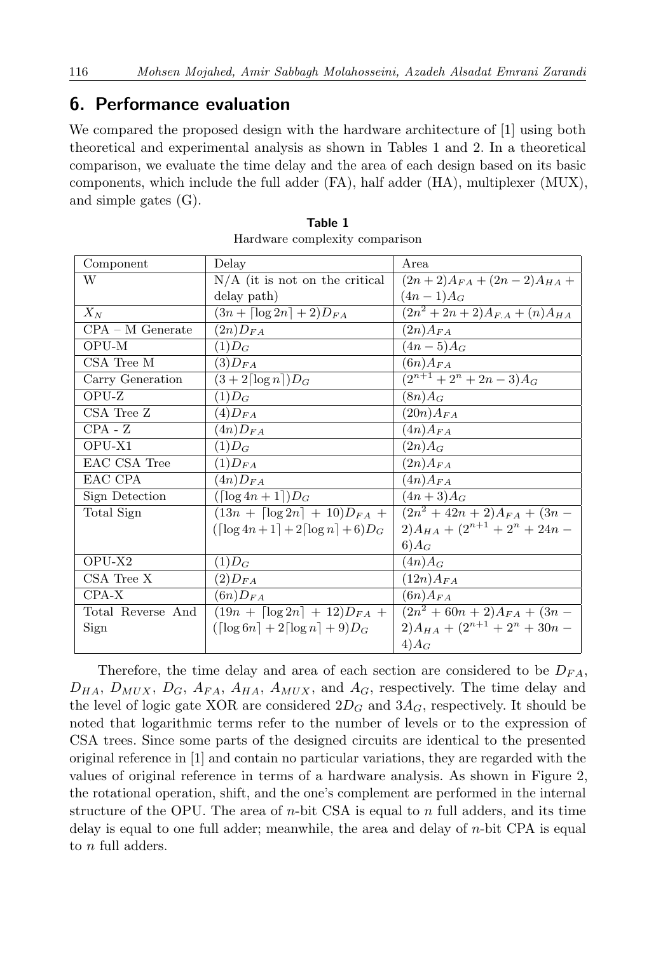## **6. Performance evaluation**

We compared the proposed design with the hardware architecture of [\[1\]](#page-18-7) using both theoretical and experimental analysis as shown in Tables [1](#page-15-0) and [2.](#page-16-0) In a theoretical comparison, we evaluate the time delay and the area of each design based on its basic components, which include the full adder (FA), half adder (HA), multiplexer (MUX), and simple gates (G).

<span id="page-15-0"></span>

| Component          | Delay                                                         | Area                                 |
|--------------------|---------------------------------------------------------------|--------------------------------------|
| W                  | $N/A$ (it is not on the critical                              | $(2n+2)A_{FA} + (2n-2)A_{HA} +$      |
|                    | delay path)                                                   | $(4n-1)A_G$                          |
| $X_N$              | $(3n + \lceil \log 2n \rceil + 2)D_{FA}$                      | $(2n^2 + 2n + 2)A_{F.A} + (n)A_{HA}$ |
| $CPA - M$ Generate | $(2n)D_{FA}$                                                  | $(2n)A_{FA}$                         |
| OPU-M              | $(1)D_G$                                                      | $(4n - 5)A_G$                        |
| CSA Tree M         | $(3)D_{FA}$                                                   | $(6n)A_{FA}$                         |
| Carry Generation   | $(3+2\lceil\log n\rceil)D_G$                                  | $\sqrt{(2^{n+1}+2^n+2n-3)}A_G$       |
| OPU-Z              | $(1)D_G$                                                      | $(8n)A_G$                            |
| CSA Tree Z         | $(4)D_{FA}$                                                   | $(20n)A_{FA}$                        |
| $CPA - Z$          | $(4n)D_{FA}$                                                  | $(4n)A_{FA}$                         |
| OPU-X1             | $(1)D_G$                                                      | $(2n)A_G$                            |
| EAC CSA Tree       | $(1)D_{FA}$                                                   | $(2n)A_{FA}$                         |
| EAC CPA            | $(4n)D_{FA}$                                                  | $(4n)A_{FA}$                         |
| Sign Detection     | $(\lceil \log 4n + 1 \rceil)D_G$                              | $(4n+3)A_G$                          |
| Total Sign         | $(13n + \lceil \log 2n \rceil + 10)D_{FA} +$                  | $(2n^2+42n+2)A_{FA}+(3n-$            |
|                    | $(\lceil \log 4n + 1 \rceil + 2 \lceil \log n \rceil + 6)D_G$ | $(2)A_{HA} + (2^{n+1} + 2^n + 24n -$ |
|                    |                                                               | $6)A_G$                              |
| OPU-X2             | $(1)D_G$                                                      | $(4n)A_G$                            |
| CSA Tree X         | $(2)D_{FA}$                                                   | $(12n)A_{FA}$                        |
| CPA-X              | $(6n)D_{FA}$                                                  | $(6n)A_{FA}$                         |
| Total Reverse And  | $(19n + \lceil \log 2n \rceil + 12)D_{FA}$                    | $(2n^2+60n+2)A_{FA}+(3n-$            |
| Sign               | $(\lceil \log 6n \rceil + 2 \lceil \log n \rceil + 9)D_G$     | $2)A_{HA} + (2^{n+1} + 2^n + 30n -$  |
|                    |                                                               | $4)$ A <sub>G</sub>                  |

| Table 1                        |  |
|--------------------------------|--|
| Hardware complexity comparison |  |

Therefore, the time delay and area of each section are considered to be *DF A*,  $D_{HA}$ ,  $D_{MUX}$ ,  $D_G$ ,  $A_{FA}$ ,  $A_{HA}$ ,  $A_{MUX}$ , and  $A_G$ , respectively. The time delay and the level of logic gate XOR are considered  $2D_G$  and  $3A_G$ , respectively. It should be noted that logarithmic terms refer to the number of levels or to the expression of CSA trees. Since some parts of the designed circuits are identical to the presented original reference in [\[1\]](#page-18-7) and contain no particular variations, they are regarded with the values of original reference in terms of a hardware analysis. As shown in Figure [2,](#page-6-2) the rotational operation, shift, and the one's complement are performed in the internal structure of the OPU. The area of *n*-bit CSA is equal to *n* full adders, and its time delay is equal to one full adder; meanwhile, the area and delay of *n*-bit CPA is equal to *n* full adders.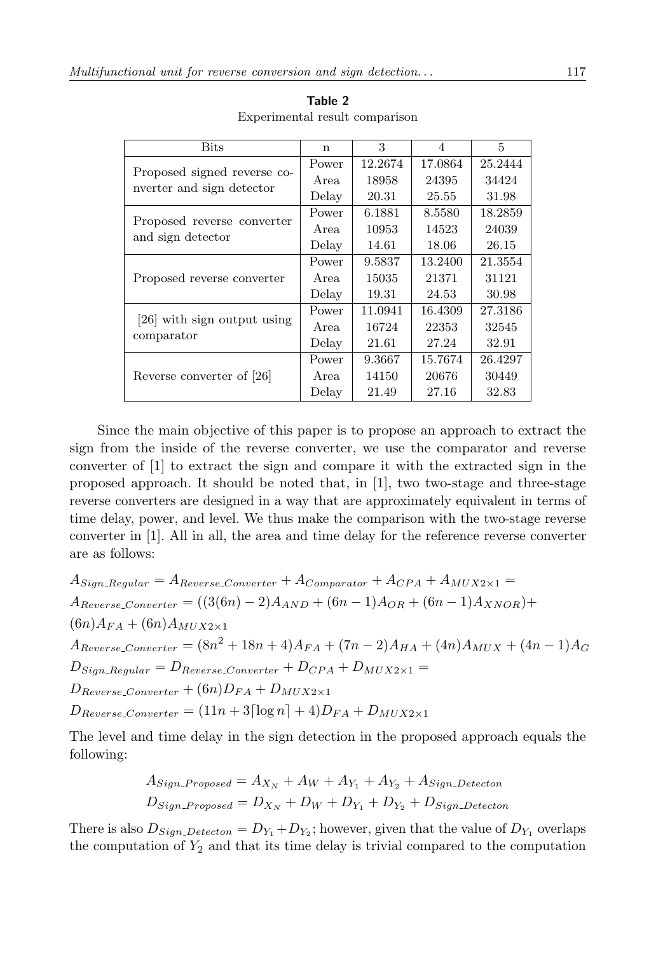<span id="page-16-0"></span>

| <b>Bits</b>                 | $\mathbf n$ | 3       | 4       | 5       |
|-----------------------------|-------------|---------|---------|---------|
| Proposed signed reverse co- | Power       | 12.2674 | 17.0864 | 25.2444 |
| nverter and sign detector   | Area        | 18958   | 24395   | 34424   |
|                             | Delay       | 20.31   | 25.55   | 31.98   |
| Proposed reverse converter  | Power       | 6.1881  | 8.5580  | 18.2859 |
| and sign detector           | Area        | 10953   | 14523   | 24039   |
|                             | Delay       | 14.61   | 18.06   | 26.15   |
|                             | Power       | 9.5837  | 13.2400 | 21.3554 |
| Proposed reverse converter  | Area        | 15035   | 21371   | 31121   |
|                             | Delay       | 19.31   | 24.53   | 30.98   |
| [26] with sign output using | Power       | 11.0941 | 16.4309 | 27.3186 |
|                             | Area        | 16724   | 22353   | 32545   |
| comparator                  | Delay       | 21.61   | 27.24   | 32.91   |
|                             | Power       | 9.3667  | 15.7674 | 26.4297 |
| Reverse converter of [26]   | Area        | 14150   | 20676   | 30449   |
|                             | Delay       | 21.49   | 27.16   | 32.83   |

**Table 2** Experimental result comparison

Since the main objective of this paper is to propose an approach to extract the sign from the inside of the reverse converter, we use the comparator and reverse converter of [\[1\]](#page-18-7) to extract the sign and compare it with the extracted sign in the proposed approach. It should be noted that, in [\[1\]](#page-18-7), two two-stage and three-stage reverse converters are designed in a way that are approximately equivalent in terms of time delay, power, and level. We thus make the comparison with the two-stage reverse converter in [\[1\]](#page-18-7). All in all, the area and time delay for the reference reverse converter are as follows:

$$
A_{Sign\text{.}Regular} = A_{Reverse\text{.}Converter} + A_{Comparator} + A_{CPA} + A_{MUX2 \times 1} =
$$
\n
$$
A_{Reverse\text{.}Converter} = ((3(6n) - 2)A_{AND} + (6n - 1)A_{OR} + (6n - 1)A_{XNOR}) +
$$
\n
$$
(6n)A_{FA} + (6n)A_{MUX2 \times 1}
$$
\n
$$
A_{Reverse\text{.}Counterer} = (8n^2 + 18n + 4)A_{FA} + (7n - 2)A_{HA} + (4n)A_{MUX} + (4n - 1)A_G
$$
\n
$$
D_{Sign\text{.}Regular} = D_{Reverse\text{.}Counterer} + D_{CPA} + D_{MUX2 \times 1} =
$$
\n
$$
D_{Reverse\text{.}Counterer} + (6n)D_{FA} + D_{MUX2 \times 1}
$$
\n
$$
D_{Reverse\text{.}Counterer} = (11n + 3\lceil \log n \rceil + 4)D_{FA} + D_{MUX2 \times 1}
$$

The level and time delay in the sign detection in the proposed approach equals the following:

$$
A_{Sign\_Proposed} = A_{X_N} + A_W + A_{Y_1} + A_{Y_2} + A_{Sign\_Detecton}
$$
  

$$
D_{Sign\_Proposed} = D_{X_N} + D_W + D_{Y_1} + D_{Y_2} + D_{Sign\_Detecton}
$$

There is also  $D_{Sign\_Detecton} = D_{Y_1} + D_{Y_2}$ ; however, given that the value of  $D_{Y_1}$  overlaps the computation of  $Y_2$  and that its time delay is trivial compared to the computation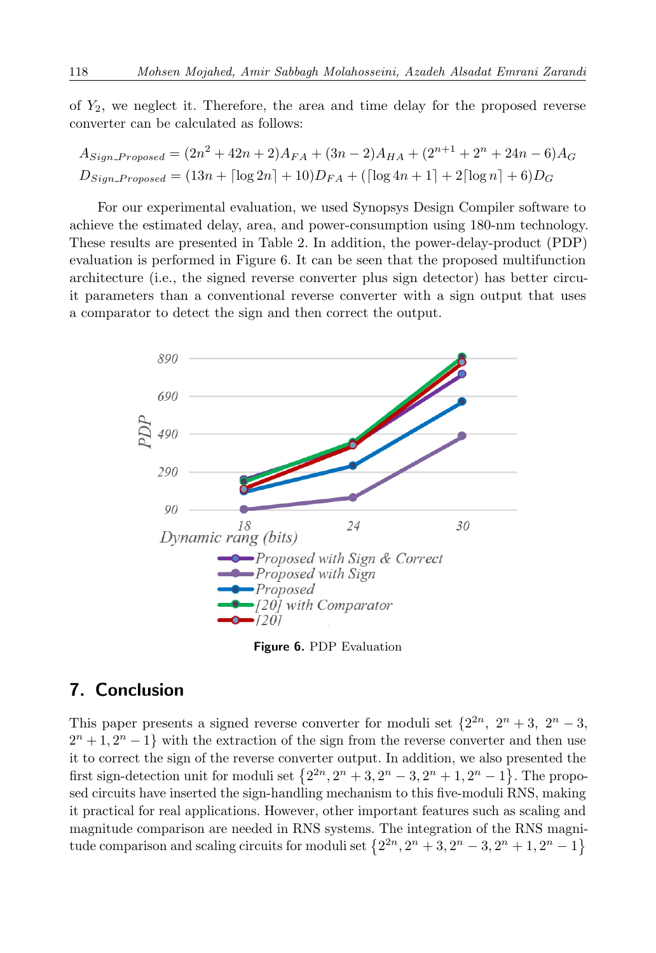of *Y*2, we neglect it. Therefore, the area and time delay for the proposed reverse converter can be calculated as follows:

$$
A_{Sign\_Proposed} = (2n^2 + 42n + 2)A_{FA} + (3n - 2)A_{HA} + (2^{n+1} + 2^n + 24n - 6)A_G
$$
  

$$
D_{Sign\_Proposed} = (13n + \lceil \log 2n \rceil + 10)D_{FA} + (\lceil \log 4n + 1 \rceil + 2\lceil \log n \rceil + 6)D_G
$$

For our experimental evaluation, we used Synopsys Design Compiler software to achieve the estimated delay, area, and power-consumption using 180-nm technology. These results are presented in Table [2.](#page-16-0) In addition, the power-delay-product (PDP) evaluation is performed in Figure [6.](#page-17-0) It can be seen that the proposed multifunction architecture (i.e., the signed reverse converter plus sign detector) has better circuit parameters than a conventional reverse converter with a sign output that uses a comparator to detect the sign and then correct the output.

<span id="page-17-0"></span>

**Figure 6.** PDP Evaluation

# **7. Conclusion**

This paper presents a signed reverse converter for moduli set  $\{2^{2n}, 2^n + 3, 2^n - 3,$  $2^{n} + 1, 2^{n} - 1$ } with the extraction of the sign from the reverse converter and then use it to correct the sign of the reverse converter output. In addition, we also presented the first sign-detection unit for moduli set  $\{2^{2n}, 2^n + 3, 2^n - 3, 2^n + 1, 2^n - 1\}$ . The proposed circuits have inserted the sign-handling mechanism to this five-moduli RNS, making it practical for real applications. However, other important features such as scaling and magnitude comparison are needed in RNS systems. The integration of the RNS magnitude comparison and scaling circuits for moduli set  $\{2^{2n}, 2^n + 3, 2^n - 3, 2^n + 1, 2^n - 1\}$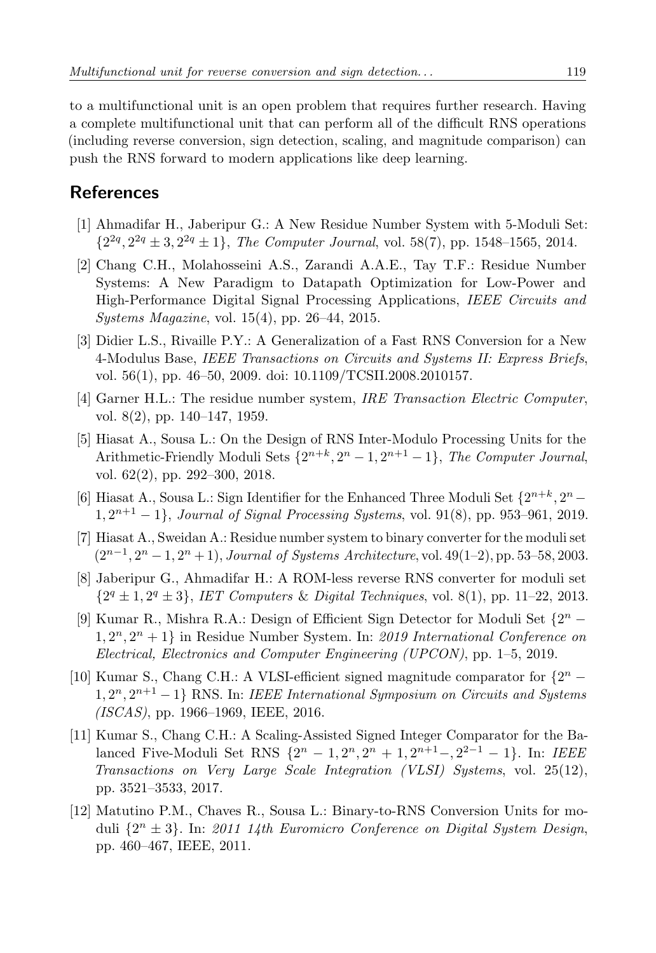to a multifunctional unit is an open problem that requires further research. Having a complete multifunctional unit that can perform all of the difficult RNS operations (including reverse conversion, sign detection, scaling, and magnitude comparison) can push the RNS forward to modern applications like deep learning.

# **References**

- <span id="page-18-7"></span>[1] Ahmadifar H., Jaberipur G.: A New Residue Number System with 5-Moduli Set:  $\{2^{2q}, 2^{2q} \pm 3, 2^{2q} \pm 1\}$ , *The Computer Journal*, vol. 58(7), pp. 1548–1565, 2014.
- <span id="page-18-1"></span>[2] Chang C.H., Molahosseini A.S., Zarandi A.A.E., Tay T.F.: Residue Number Systems: A New Paradigm to Datapath Optimization for Low-Power and High-Performance Digital Signal Processing Applications, *IEEE Circuits and Systems Magazine*, vol. 15(4), pp. 26–44, 2015.
- <span id="page-18-2"></span>[3] Didier L.S., Rivaille P.Y.: [A Generalization of a Fast RNS Conversion for a New](https://doi.org/10.1109/TCSII.2008.2010157) [4-Modulus Base,](https://doi.org/10.1109/TCSII.2008.2010157) *IEEE Transactions on Circuits and Systems II: Express Briefs*, vol. 56(1), pp. 46–50, 2009. [doi: 10.1109/TCSII.2008.2010157.](https://doi.org/10.1109/TCSII.2008.2010157)
- <span id="page-18-0"></span>[4] Garner H.L.: The residue number system, *IRE Transaction Electric Computer*, vol. 8(2), pp. 140–147, 1959.
- <span id="page-18-8"></span>[5] Hiasat A., Sousa L.: On the Design of RNS Inter-Modulo Processing Units for the Arithmetic-Friendly Moduli Sets  $\{2^{n+k}, 2^n - 1, 2^{n+1} - 1\}$ , *The Computer Journal*, vol. 62(2), pp. 292–300, 2018.
- <span id="page-18-9"></span>[6] Hiasat A., Sousa L.: Sign Identifier for the Enhanced Three Moduli Set  $\{2^{n+k}, 2^n -$ 1*,* 2 *<sup>n</sup>*+1 *−* 1*}*, *Journal of Signal Processing Systems*, vol. 91(8), pp. 953–961, 2019.
- <span id="page-18-3"></span>[7] Hiasat A., Sweidan A.: Residue number system to binary converter for the moduli set (2*n−*<sup>1</sup> *,* 2 *<sup>n</sup> −* 1*,* 2 *<sup>n</sup>* + 1), *Journal of Systems Architecture*, vol. 49(1–2), pp. 53–58, 2003.
- <span id="page-18-4"></span>[8] Jaberipur G., Ahmadifar H.: A ROM-less reverse RNS converter for moduli set  ${2^q \pm 1, 2^q \pm 3}$ , *IET Computers* & *Digital Techniques*, vol. 8(1), pp. 11–22, 2013.
- <span id="page-18-10"></span>[9] Kumar R., Mishra R.A.: Design of Efficient Sign Detector for Moduli Set *{*2 *<sup>n</sup> −* 1*,* 2 *<sup>n</sup>,* 2 *<sup>n</sup>* + 1*}* in Residue Number System. In: *2019 International Conference on Electrical, Electronics and Computer Engineering (UPCON)*, pp. 1–5, 2019.
- <span id="page-18-5"></span>[10] Kumar S., Chang C.H.: A VLSI-efficient signed magnitude comparator for *{*2 *<sup>n</sup> −* 1*,* 2 *<sup>n</sup>,* 2 *<sup>n</sup>*+1 *−* 1*}* RNS. In: *IEEE International Symposium on Circuits and Systems (ISCAS)*, pp. 1966–1969, IEEE, 2016.
- <span id="page-18-11"></span>[11] Kumar S., Chang C.H.: A Scaling-Assisted Signed Integer Comparator for the Balanced Five-Moduli Set RNS *{*2 *<sup>n</sup> −* 1*,* 2 *<sup>n</sup>,* 2 *<sup>n</sup>* + 1*,* 2 *<sup>n</sup>*+1*−,* 2 <sup>2</sup>*−*<sup>1</sup> *−* 1*}*. In: *IEEE Transactions on Very Large Scale Integration (VLSI) Systems*, vol. 25(12), pp. 3521–3533, 2017.
- <span id="page-18-6"></span>[12] Matutino P.M., Chaves R., Sousa L.: Binary-to-RNS Conversion Units for moduli *{*2 *<sup>n</sup> ±* 3*}*. In: *2011 14th Euromicro Conference on Digital System Design*, pp. 460–467, IEEE, 2011.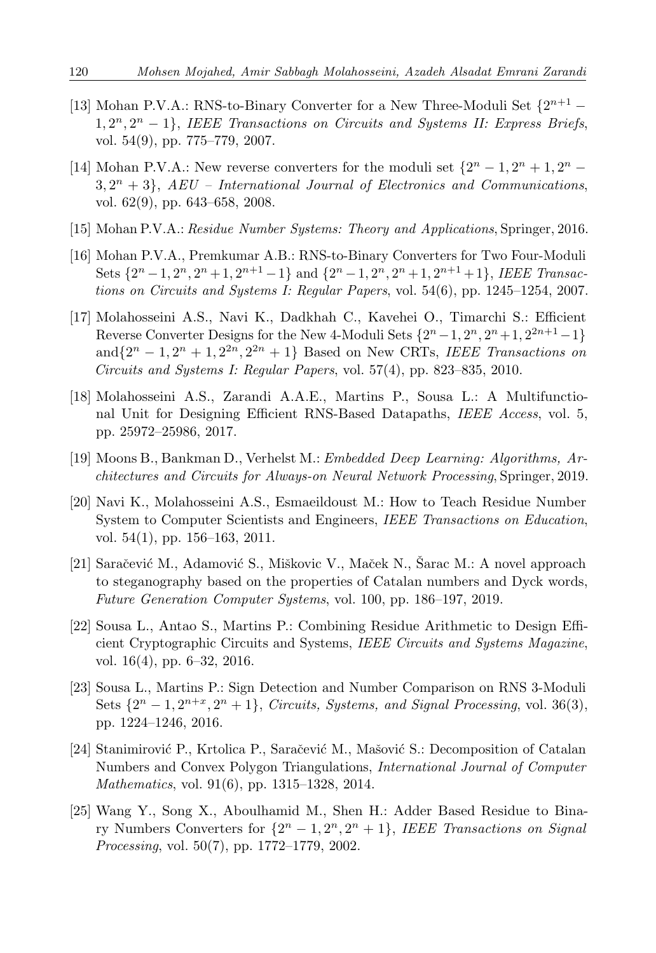- <span id="page-19-12"></span>[13] Mohan P.V.A.: RNS-to-Binary Converter for a New Three-Moduli Set *{*2 *<sup>n</sup>*+1 *−* 1*,* 2 *<sup>n</sup>,* 2 *<sup>n</sup> −* 1*}*, *IEEE Transactions on Circuits and Systems II: Express Briefs*, vol. 54(9), pp. 775–779, 2007.
- <span id="page-19-6"></span>[14] Mohan P.V.A.: New reverse converters for the moduli set  $\{2^n - 1, 2^n + 1, 2^n 3, 2<sup>n</sup> + 3$ ,  $AEU$  – International Journal of Electronics and Communications, vol. 62(9), pp. 643–658, 2008.
- <span id="page-19-2"></span>[15] Mohan P.V.A.: *Residue Number Systems: Theory and Applications*, Springer, 2016.
- <span id="page-19-7"></span>[16] Mohan P.V.A., Premkumar A.B.: RNS-to-Binary Converters for Two Four-Moduli Sets  $\{2^{n}-1, 2^{n}, 2^{n}+1, 2^{n+1}-1\}$  and  $\{2^{n}-1, 2^{n}, 2^{n}+1, 2^{n+1}+1\}$ , IEEE Transac*tions on Circuits and Systems I: Regular Papers*, vol. 54(6), pp. 1245–1254, 2007.
- <span id="page-19-11"></span>[17] Molahosseini A.S., Navi K., Dadkhah C., Kavehei O., Timarchi S.: Efficient Reverse Converter Designs for the New 4-Moduli Sets  $\{2^n - 1, 2^n, 2^n + 1, 2^{2n+1} - 1\}$  $\text{and}\{2^n - 1, 2^n + 1, 2^{2n}, 2^{2n} + 1\}$  Based on New CRTs, *IEEE Transactions on Circuits and Systems I: Regular Papers*, vol. 57(4), pp. 823–835, 2010.
- <span id="page-19-8"></span>[18] Molahosseini A.S., Zarandi A.A.E., Martins P., Sousa L.: A Multifunctional Unit for Designing Efficient RNS-Based Datapaths, *IEEE Access*, vol. 5, pp. 25972–25986, 2017.
- <span id="page-19-4"></span>[19] Moons B., Bankman D., Verhelst M.: *Embedded Deep Learning: Algorithms, Architectures and Circuits for Always-on Neural Network Processing*, Springer, 2019.
- <span id="page-19-5"></span>[20] Navi K., Molahosseini A.S., Esmaeildoust M.: How to Teach Residue Number System to Computer Scientists and Engineers, *IEEE Transactions on Education*, vol. 54(1), pp. 156–163, 2011.
- <span id="page-19-0"></span>[21] Saračević M., Adamović S., Miškovic V., Maček N., Šarac M.: A novel approach to steganography based on the properties of Catalan numbers and Dyck words, *Future Generation Computer Systems*, vol. 100, pp. 186–197, 2019.
- <span id="page-19-3"></span>[22] Sousa L., Antao S., Martins P.: Combining Residue Arithmetic to Design Efficient Cryptographic Circuits and Systems, *IEEE Circuits and Systems Magazine*, vol. 16(4), pp. 6–32, 2016.
- <span id="page-19-10"></span>[23] Sousa L., Martins P.: Sign Detection and Number Comparison on RNS 3-Moduli Sets  $\{2^n - 1, 2^{n+x}, 2^n + 1\}$ , *Circuits, Systems, and Signal Processing*, vol. 36(3), pp. 1224–1246, 2016.
- <span id="page-19-1"></span>[24] Stanimirović P., Krtolica P., Saračević M., Mašović S.: Decomposition of Catalan Numbers and Convex Polygon Triangulations, *International Journal of Computer Mathematics*, vol. 91(6), pp. 1315–1328, 2014.
- <span id="page-19-9"></span>[25] Wang Y., Song X., Aboulhamid M., Shen H.: Adder Based Residue to Binary Numbers Converters for  $\{2^n - 1, 2^n, 2^n + 1\}$ , *IEEE Transactions on Signal Processing*, vol. 50(7), pp. 1772–1779, 2002.